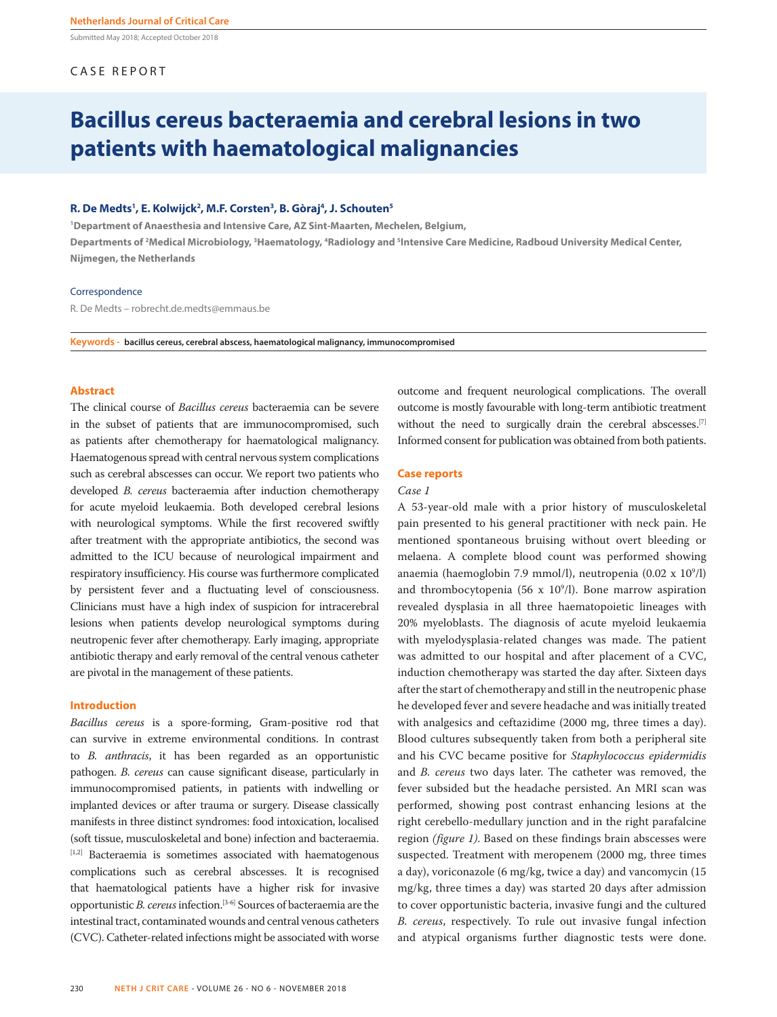Submitted May 2018; Accepted October 2018

#### CASE REPORT

### **Bacillus cereus bacteraemia and cerebral lesions in two patients with haematological malignancies**

#### **R. De Medts1 , E. Kolwijck2 , M.F. Corsten3 , B. Gòraj4 , J. Schouten5**

**1 Department of Anaesthesia and Intensive Care, AZ Sint-Maarten, Mechelen, Belgium,**  Departments of <sup>2</sup>Medical Microbiology, <sup>3</sup>Haematology, <sup>4</sup>Radiology and <sup>5</sup>Intensive Care Medicine, Radboud University Medical Center, **Nijmegen, the Netherlands**

#### Correspondence

R. De Medts – robrecht.de.medts@emmaus.be

**Keywords - bacillus cereus, cerebral abscess, haematological malignancy, immunocompromised**

#### **Abstract**

The clinical course of *Bacillus cereus* bacteraemia can be severe in the subset of patients that are immunocompromised, such as patients after chemotherapy for haematological malignancy. Haematogenous spread with central nervous system complications such as cerebral abscesses can occur. We report two patients who developed *B. cereus* bacteraemia after induction chemotherapy for acute myeloid leukaemia. Both developed cerebral lesions with neurological symptoms. While the first recovered swiftly after treatment with the appropriate antibiotics, the second was admitted to the ICU because of neurological impairment and respiratory insufficiency. His course was furthermore complicated by persistent fever and a fluctuating level of consciousness. Clinicians must have a high index of suspicion for intracerebral lesions when patients develop neurological symptoms during neutropenic fever after chemotherapy. Early imaging, appropriate antibiotic therapy and early removal of the central venous catheter are pivotal in the management of these patients.

#### **Introduction**

*Bacillus cereus* is a spore-forming, Gram-positive rod that can survive in extreme environmental conditions. In contrast to *B. anthracis*, it has been regarded as an opportunistic pathogen. *B. cereus* can cause significant disease, particularly in immunocompromised patients, in patients with indwelling or implanted devices or after trauma or surgery. Disease classically manifests in three distinct syndromes: food intoxication, localised (soft tissue, musculoskeletal and bone) infection and bacteraemia. [1,2] Bacteraemia is sometimes associated with haematogenous complications such as cerebral abscesses. It is recognised that haematological patients have a higher risk for invasive opportunistic *B. cereus* infection.[3-6] Sources of bacteraemia are the intestinal tract, contaminated wounds and central venous catheters (CVC). Catheter-related infections might be associated with worse outcome and frequent neurological complications. The overall outcome is mostly favourable with long-term antibiotic treatment without the need to surgically drain the cerebral abscesses.<sup>[7]</sup> Informed consent for publication was obtained from both patients.

#### **Case reports**

#### *Case 1*

A 53-year-old male with a prior history of musculoskeletal pain presented to his general practitioner with neck pain. He mentioned spontaneous bruising without overt bleeding or melaena. A complete blood count was performed showing anaemia (haemoglobin 7.9 mmol/l), neutropenia  $(0.02 \times 10^9/l)$ and thrombocytopenia (56 x  $10^9$ /l). Bone marrow aspiration revealed dysplasia in all three haematopoietic lineages with 20% myeloblasts. The diagnosis of acute myeloid leukaemia with myelodysplasia-related changes was made. The patient was admitted to our hospital and after placement of a CVC, induction chemotherapy was started the day after. Sixteen days after the start of chemotherapy and still in the neutropenic phase he developed fever and severe headache and was initially treated with analgesics and ceftazidime (2000 mg, three times a day). Blood cultures subsequently taken from both a peripheral site and his CVC became positive for *Staphylococcus epidermidis*  and *B. cereus* two days later. The catheter was removed, the fever subsided but the headache persisted. An MRI scan was performed, showing post contrast enhancing lesions at the right cerebello-medullary junction and in the right parafalcine region *(figure 1)*. Based on these findings brain abscesses were suspected. Treatment with meropenem (2000 mg, three times a day), voriconazole (6 mg/kg, twice a day) and vancomycin (15 mg/kg, three times a day) was started 20 days after admission to cover opportunistic bacteria, invasive fungi and the cultured *B. cereus*, respectively. To rule out invasive fungal infection and atypical organisms further diagnostic tests were done.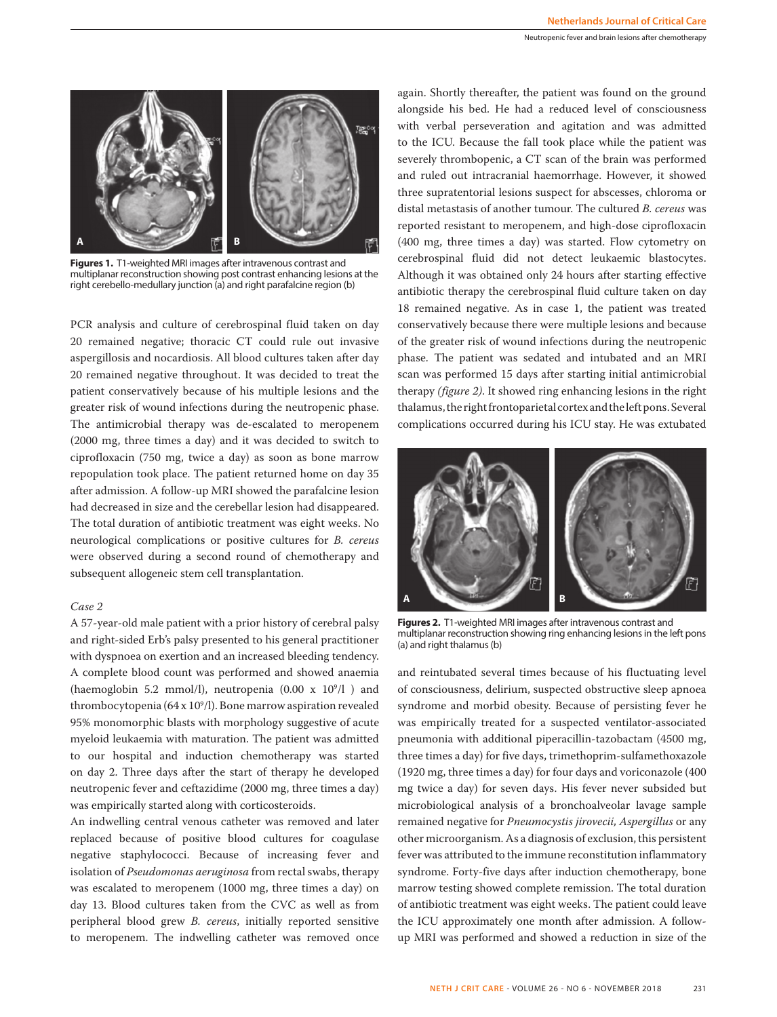

**Figures 1.** T1-weighted MRI images after intravenous contrast and multiplanar reconstruction showing post contrast enhancing lesions at the right cerebello-medullary junction (a) and right parafalcine region (b)

PCR analysis and culture of cerebrospinal fluid taken on day 20 remained negative; thoracic CT could rule out invasive aspergillosis and nocardiosis. All blood cultures taken after day 20 remained negative throughout. It was decided to treat the patient conservatively because of his multiple lesions and the greater risk of wound infections during the neutropenic phase. The antimicrobial therapy was de-escalated to meropenem (2000 mg, three times a day) and it was decided to switch to ciprofloxacin (750 mg, twice a day) as soon as bone marrow repopulation took place. The patient returned home on day 35 after admission. A follow-up MRI showed the parafalcine lesion had decreased in size and the cerebellar lesion had disappeared. The total duration of antibiotic treatment was eight weeks. No neurological complications or positive cultures for *B. cereus* were observed during a second round of chemotherapy and subsequent allogeneic stem cell transplantation.

#### *Case 2*

A 57-year-old male patient with a prior history of cerebral palsy and right-sided Erb's palsy presented to his general practitioner with dyspnoea on exertion and an increased bleeding tendency. A complete blood count was performed and showed anaemia (haemoglobin 5.2 mmol/l), neutropenia  $(0.00 \times 10^9/l)$  and thrombocytopenia (64 x 109 /l). Bone marrow aspiration revealed 95% monomorphic blasts with morphology suggestive of acute myeloid leukaemia with maturation. The patient was admitted to our hospital and induction chemotherapy was started on day 2. Three days after the start of therapy he developed neutropenic fever and ceftazidime (2000 mg, three times a day) was empirically started along with corticosteroids.

An indwelling central venous catheter was removed and later replaced because of positive blood cultures for coagulase negative staphylococci. Because of increasing fever and isolation of *Pseudomonas aeruginosa* from rectal swabs, therapy was escalated to meropenem (1000 mg, three times a day) on day 13. Blood cultures taken from the CVC as well as from peripheral blood grew *B. cereus*, initially reported sensitive to meropenem. The indwelling catheter was removed once

again. Shortly thereafter, the patient was found on the ground alongside his bed. He had a reduced level of consciousness with verbal perseveration and agitation and was admitted to the ICU. Because the fall took place while the patient was severely thrombopenic, a CT scan of the brain was performed and ruled out intracranial haemorrhage. However, it showed three supratentorial lesions suspect for abscesses, chloroma or distal metastasis of another tumour. The cultured *B. cereus* was reported resistant to meropenem, and high-dose ciprofloxacin (400 mg, three times a day) was started. Flow cytometry on cerebrospinal fluid did not detect leukaemic blastocytes. Although it was obtained only 24 hours after starting effective antibiotic therapy the cerebrospinal fluid culture taken on day 18 remained negative. As in case 1, the patient was treated conservatively because there were multiple lesions and because of the greater risk of wound infections during the neutropenic phase. The patient was sedated and intubated and an MRI scan was performed 15 days after starting initial antimicrobial therapy *(figure 2)*. It showed ring enhancing lesions in the right thalamus, the right frontoparietal cortex and the left pons. Several complications occurred during his ICU stay. He was extubated



**Figures 2.** T1-weighted MRI images after intravenous contrast and multiplanar reconstruction showing ring enhancing lesions in the left pons (a) and right thalamus (b)

and reintubated several times because of his fluctuating level of consciousness, delirium, suspected obstructive sleep apnoea syndrome and morbid obesity. Because of persisting fever he was empirically treated for a suspected ventilator-associated pneumonia with additional piperacillin-tazobactam (4500 mg, three times a day) for five days, trimethoprim-sulfamethoxazole (1920 mg, three times a day) for four days and voriconazole (400 mg twice a day) for seven days. His fever never subsided but microbiological analysis of a bronchoalveolar lavage sample remained negative for *Pneumocystis jirovecii, Aspergillus* or any other microorganism. As a diagnosis of exclusion, this persistent fever was attributed to the immune reconstitution inflammatory syndrome. Forty-five days after induction chemotherapy, bone marrow testing showed complete remission. The total duration of antibiotic treatment was eight weeks. The patient could leave the ICU approximately one month after admission. A followup MRI was performed and showed a reduction in size of the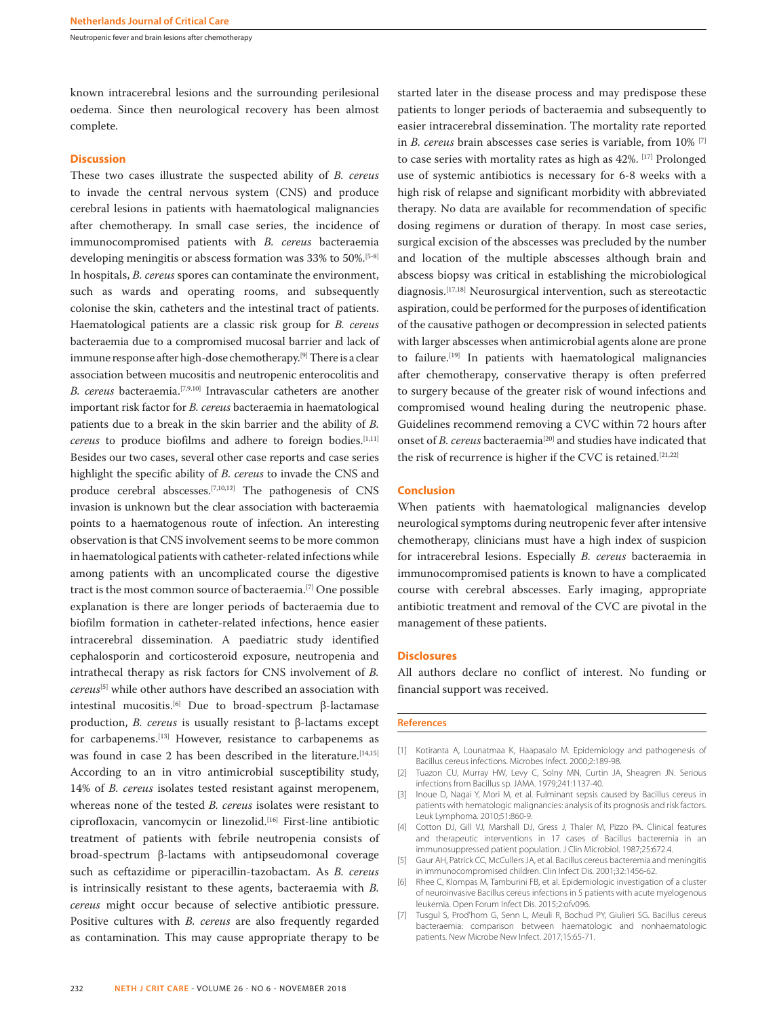Neutropenic fever and brain lesions after chemotherapy

known intracerebral lesions and the surrounding perilesional oedema. Since then neurological recovery has been almost complete.

#### **Discussion**

These two cases illustrate the suspected ability of *B. cereus* to invade the central nervous system (CNS) and produce cerebral lesions in patients with haematological malignancies after chemotherapy. In small case series, the incidence of immunocompromised patients with *B. cereus* bacteraemia developing meningitis or abscess formation was 33% to 50%.<sup>[5-8]</sup> In hospitals, *B. cereus* spores can contaminate the environment, such as wards and operating rooms, and subsequently colonise the skin, catheters and the intestinal tract of patients. Haematological patients are a classic risk group for *B. cereus* bacteraemia due to a compromised mucosal barrier and lack of immune response after high-dose chemotherapy.[9] There is a clear association between mucositis and neutropenic enterocolitis and *B. cereus* bacteraemia.[7,9,10] Intravascular catheters are another important risk factor for *B. cereus* bacteraemia in haematological patients due to a break in the skin barrier and the ability of *B. cereus* to produce biofilms and adhere to foreign bodies.<sup>[1,11]</sup> Besides our two cases, several other case reports and case series highlight the specific ability of *B. cereus* to invade the CNS and produce cerebral abscesses.[7,10,12] The pathogenesis of CNS invasion is unknown but the clear association with bacteraemia points to a haematogenous route of infection. An interesting observation is that CNS involvement seems to be more common in haematological patients with catheter-related infections while among patients with an uncomplicated course the digestive tract is the most common source of bacteraemia.[7] One possible explanation is there are longer periods of bacteraemia due to biofilm formation in catheter-related infections, hence easier intracerebral dissemination. A paediatric study identified cephalosporin and corticosteroid exposure, neutropenia and intrathecal therapy as risk factors for CNS involvement of *B. cereus*[5] while other authors have described an association with intestinal mucositis.[6] Due to broad-spectrum β-lactamase production, *B. cereus* is usually resistant to β-lactams except for carbapenems.[13] However, resistance to carbapenems as was found in case 2 has been described in the literature.<sup>[14,15]</sup> According to an in vitro antimicrobial susceptibility study, 14% of *B. cereus* isolates tested resistant against meropenem, whereas none of the tested *B. cereus* isolates were resistant to ciprofloxacin, vancomycin or linezolid.[16] First-line antibiotic treatment of patients with febrile neutropenia consists of broad-spectrum β-lactams with antipseudomonal coverage such as ceftazidime or piperacillin-tazobactam. As *B. cereus* is intrinsically resistant to these agents, bacteraemia with *B. cereus* might occur because of selective antibiotic pressure. Positive cultures with *B. cereus* are also frequently regarded as contamination. This may cause appropriate therapy to be started later in the disease process and may predispose these patients to longer periods of bacteraemia and subsequently to easier intracerebral dissemination. The mortality rate reported in *B. cereus* brain abscesses case series is variable, from 10% [7] to case series with mortality rates as high as 42%. [17] Prolonged use of systemic antibiotics is necessary for 6-8 weeks with a high risk of relapse and significant morbidity with abbreviated therapy. No data are available for recommendation of specific dosing regimens or duration of therapy. In most case series, surgical excision of the abscesses was precluded by the number and location of the multiple abscesses although brain and abscess biopsy was critical in establishing the microbiological diagnosis.<sup>[17,18]</sup> Neurosurgical intervention, such as stereotactic aspiration, could be performed for the purposes of identification of the causative pathogen or decompression in selected patients with larger abscesses when antimicrobial agents alone are prone to failure.<sup>[19]</sup> In patients with haematological malignancies after chemotherapy, conservative therapy is often preferred to surgery because of the greater risk of wound infections and compromised wound healing during the neutropenic phase. Guidelines recommend removing a CVC within 72 hours after onset of *B. cereus* bacteraemia<sup>[20]</sup> and studies have indicated that the risk of recurrence is higher if the CVC is retained.<sup>[21,22]</sup>

#### **Conclusion**

When patients with haematological malignancies develop neurological symptoms during neutropenic fever after intensive chemotherapy, clinicians must have a high index of suspicion for intracerebral lesions. Especially *B. cereus* bacteraemia in immunocompromised patients is known to have a complicated course with cerebral abscesses. Early imaging, appropriate antibiotic treatment and removal of the CVC are pivotal in the management of these patients.

#### **Disclosures**

All authors declare no conflict of interest. No funding or financial support was received.

#### **References**

- [1] Kotiranta A, Lounatmaa K, Haapasalo M. Epidemiology and pathogenesis of Bacillus cereus infections. Microbes Infect. 2000;2:189-98.
- [2] Tuazon CU, Murray HW, Levy C, Solny MN, Curtin JA, Sheagren JN. Serious infections from Bacillus sp. JAMA. 1979;241:1137-40.
- [3] Inoue D, Nagai Y, Mori M, et al. Fulminant sepsis caused by Bacillus cereus in patients with hematologic malignancies: analysis of its prognosis and risk factors. Leuk Lymphoma. 2010;51:860-9.
- [4] Cotton DJ, Gill VJ, Marshall DJ, Gress J, Thaler M, Pizzo PA. Clinical features and therapeutic interventions in 17 cases of Bacillus bacteremia in an immunosuppressed patient population. J Clin Microbiol. 1987;25:672.4.
- [5] Gaur AH, Patrick CC, McCullers JA, et al. Bacillus cereus bacteremia and meningitis in immunocompromised children. Clin Infect Dis. 2001;32:1456-62.
- [6] Rhee C, Klompas M, Tamburini FB, et al. Epidemiologic investigation of a cluster of neuroinvasive Bacillus cereus infections in 5 patients with acute myelogenous leukemia. Open Forum Infect Dis. 2015;2:ofv096.
- [7] Tusgul S, Prod'hom G, Senn L, Meuli R, Bochud PY, Giulieri SG. Bacillus cereus bacteraemia: comparison between haematologic and nonhaematologic patients. New Microbe New Infect. 2017;15:65-71.